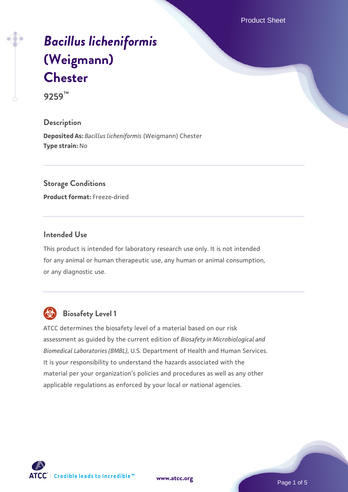Product Sheet

# *[Bacillus licheniformis](https://www.atcc.org/products/9259)* **[\(Weigmann\)](https://www.atcc.org/products/9259) [Chester](https://www.atcc.org/products/9259)**

**9259™**

# **Description**

**Deposited As:** *Bacillus licheniformis* (Weigmann) Chester **Type strain:** No

# **Storage Conditions**

**Product format:** Freeze-dried

#### **Intended Use**

This product is intended for laboratory research use only. It is not intended for any animal or human therapeutic use, any human or animal consumption, or any diagnostic use.



# **Biosafety Level 1**

ATCC determines the biosafety level of a material based on our risk assessment as guided by the current edition of *Biosafety in Microbiological and Biomedical Laboratories (BMBL)*, U.S. Department of Health and Human Services. It is your responsibility to understand the hazards associated with the material per your organization's policies and procedures as well as any other applicable regulations as enforced by your local or national agencies.

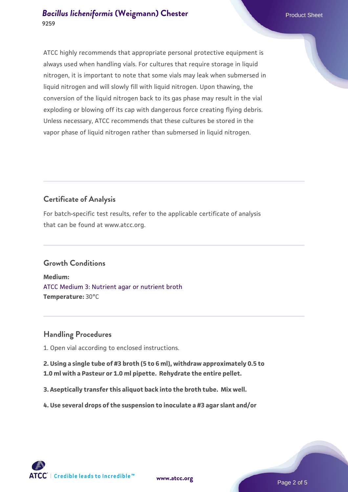ATCC highly recommends that appropriate personal protective equipment is always used when handling vials. For cultures that require storage in liquid nitrogen, it is important to note that some vials may leak when submersed in liquid nitrogen and will slowly fill with liquid nitrogen. Upon thawing, the conversion of the liquid nitrogen back to its gas phase may result in the vial exploding or blowing off its cap with dangerous force creating flying debris. Unless necessary, ATCC recommends that these cultures be stored in the vapor phase of liquid nitrogen rather than submersed in liquid nitrogen.

# **Certificate of Analysis**

For batch-specific test results, refer to the applicable certificate of analysis that can be found at www.atcc.org.

# **Growth Conditions**

**Medium:**  [ATCC Medium 3: Nutrient agar or nutrient broth](https://www.atcc.org/-/media/product-assets/documents/microbial-media-formulations/3/atcc-medium-3.pdf?rev=7510837507e64d849c62a46b5b2197a1) **Temperature:** 30°C

# **Handling Procedures**

1. Open vial according to enclosed instructions.

**2. Using a single tube of #3 broth (5 to 6 ml), withdraw approximately 0.5 to 1.0 ml with a Pasteur or 1.0 ml pipette. Rehydrate the entire pellet.**

**3. Aseptically transfer this aliquot back into the broth tube. Mix well.**

**4. Use several drops of the suspension to inoculate a #3 agar slant and/or**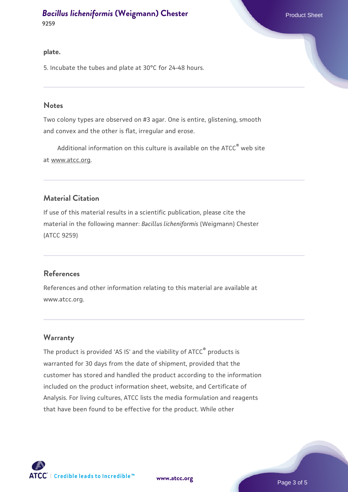**9259**

#### **plate.**

5. Incubate the tubes and plate at 30°C for 24-48 hours.

#### **Notes**

Two colony types are observed on #3 agar. One is entire, glistening, smooth and convex and the other is flat, irregular and erose.

Additional information on this culture is available on the ATCC<sup>®</sup> web site at www.atcc.org.

# **Material Citation**

If use of this material results in a scientific publication, please cite the material in the following manner: *Bacillus licheniformis* (Weigmann) Chester (ATCC 9259)

#### **References**

References and other information relating to this material are available at www.atcc.org.

# **Warranty**

The product is provided 'AS IS' and the viability of ATCC® products is warranted for 30 days from the date of shipment, provided that the customer has stored and handled the product according to the information included on the product information sheet, website, and Certificate of Analysis. For living cultures, ATCC lists the media formulation and reagents that have been found to be effective for the product. While other

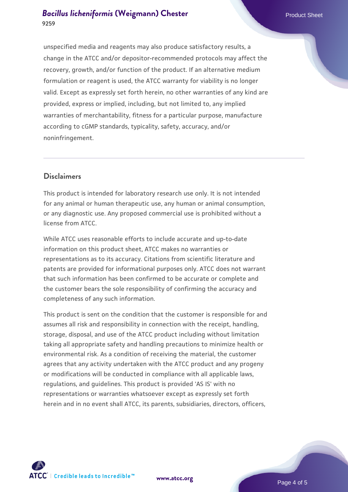unspecified media and reagents may also produce satisfactory results, a change in the ATCC and/or depositor-recommended protocols may affect the recovery, growth, and/or function of the product. If an alternative medium formulation or reagent is used, the ATCC warranty for viability is no longer valid. Except as expressly set forth herein, no other warranties of any kind are provided, express or implied, including, but not limited to, any implied warranties of merchantability, fitness for a particular purpose, manufacture according to cGMP standards, typicality, safety, accuracy, and/or noninfringement.

# **Disclaimers**

This product is intended for laboratory research use only. It is not intended for any animal or human therapeutic use, any human or animal consumption, or any diagnostic use. Any proposed commercial use is prohibited without a license from ATCC.

While ATCC uses reasonable efforts to include accurate and up-to-date information on this product sheet, ATCC makes no warranties or representations as to its accuracy. Citations from scientific literature and patents are provided for informational purposes only. ATCC does not warrant that such information has been confirmed to be accurate or complete and the customer bears the sole responsibility of confirming the accuracy and completeness of any such information.

This product is sent on the condition that the customer is responsible for and assumes all risk and responsibility in connection with the receipt, handling, storage, disposal, and use of the ATCC product including without limitation taking all appropriate safety and handling precautions to minimize health or environmental risk. As a condition of receiving the material, the customer agrees that any activity undertaken with the ATCC product and any progeny or modifications will be conducted in compliance with all applicable laws, regulations, and guidelines. This product is provided 'AS IS' with no representations or warranties whatsoever except as expressly set forth herein and in no event shall ATCC, its parents, subsidiaries, directors, officers,